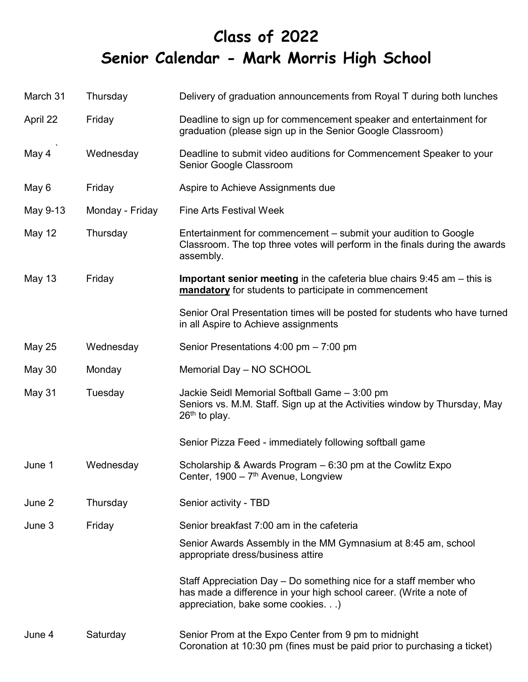## **Class of 2022 Senior Calendar - Mark Morris High School**

| March 31      | Thursday        | Delivery of graduation announcements from Royal T during both lunches                                                                                                        |
|---------------|-----------------|------------------------------------------------------------------------------------------------------------------------------------------------------------------------------|
| April 22      | Friday          | Deadline to sign up for commencement speaker and entertainment for<br>graduation (please sign up in the Senior Google Classroom)                                             |
| May 4         | Wednesday       | Deadline to submit video auditions for Commencement Speaker to your<br>Senior Google Classroom                                                                               |
| May 6         | Friday          | Aspire to Achieve Assignments due                                                                                                                                            |
| May 9-13      | Monday - Friday | <b>Fine Arts Festival Week</b>                                                                                                                                               |
| May 12        | Thursday        | Entertainment for commencement – submit your audition to Google<br>Classroom. The top three votes will perform in the finals during the awards<br>assembly.                  |
| May 13        | Friday          | <b>Important senior meeting</b> in the cafeteria blue chairs $9:45$ am $-$ this is<br>mandatory for students to participate in commencement                                  |
|               |                 | Senior Oral Presentation times will be posted for students who have turned<br>in all Aspire to Achieve assignments                                                           |
| May 25        | Wednesday       | Senior Presentations 4:00 pm - 7:00 pm                                                                                                                                       |
| <b>May 30</b> | Monday          | Memorial Day - NO SCHOOL                                                                                                                                                     |
| May 31        | Tuesday         | Jackie Seidl Memorial Softball Game - 3:00 pm<br>Seniors vs. M.M. Staff. Sign up at the Activities window by Thursday, May<br>$26th$ to play.                                |
|               |                 | Senior Pizza Feed - immediately following softball game                                                                                                                      |
| June 1        | Wednesday       | Scholarship & Awards Program – 6:30 pm at the Cowlitz Expo<br>Center, $1900 - 7$ <sup>th</sup> Avenue, Longview                                                              |
| June 2        | Thursday        | Senior activity - TBD                                                                                                                                                        |
| June 3        | Friday          | Senior breakfast 7:00 am in the cafeteria                                                                                                                                    |
|               |                 | Senior Awards Assembly in the MM Gymnasium at 8:45 am, school<br>appropriate dress/business attire                                                                           |
|               |                 | Staff Appreciation Day – Do something nice for a staff member who<br>has made a difference in your high school career. (Write a note of<br>appreciation, bake some cookies.) |
| June 4        | Saturday        | Senior Prom at the Expo Center from 9 pm to midnight<br>Coronation at 10:30 pm (fines must be paid prior to purchasing a ticket)                                             |